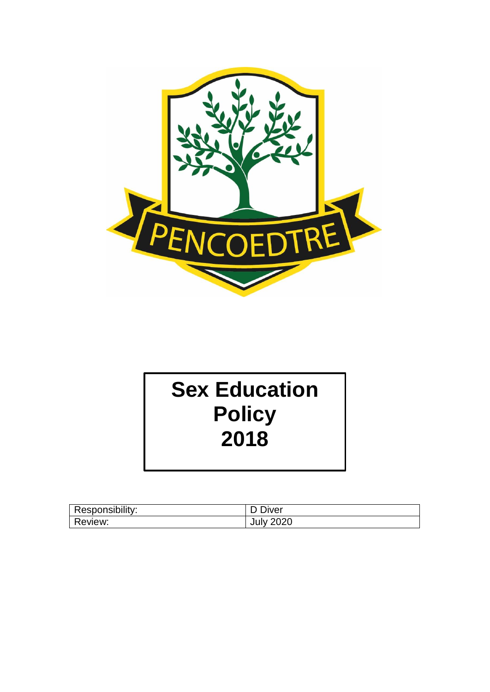

# **Sex Education Policy 2018**

| Responsibility: | D Diver          |
|-----------------|------------------|
| Review:         | <b>July 2020</b> |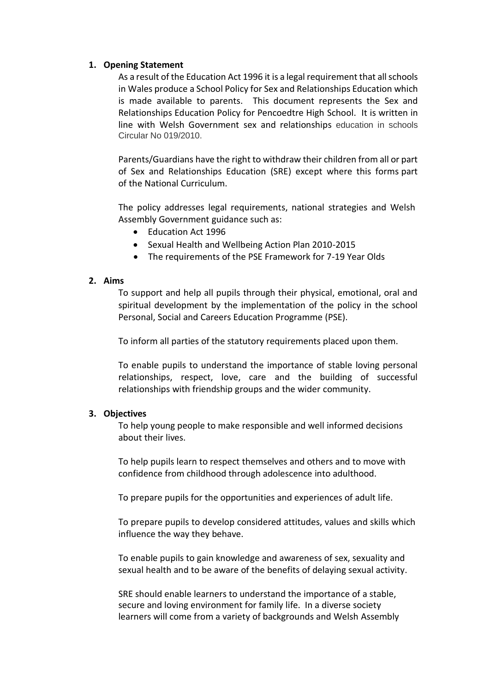#### **1. Opening Statement**

As a result of the Education Act 1996 it is a legal requirement that all schools in Wales produce a School Policy for Sex and Relationships Education which is made available to parents. This document represents the Sex and Relationships Education Policy for Pencoedtre High School. It is written in line with Welsh Government sex and relationships education in schools Circular No 019/2010.

Parents/Guardians have the right to withdraw their children from all or part of Sex and Relationships Education (SRE) except where this forms part of the National Curriculum.

The policy addresses legal requirements, national strategies and Welsh Assembly Government guidance such as:

- Education Act 1996
- Sexual Health and Wellbeing Action Plan 2010-2015
- The requirements of the PSE Framework for 7-19 Year Olds

## **2. Aims**

To support and help all pupils through their physical, emotional, oral and spiritual development by the implementation of the policy in the school Personal, Social and Careers Education Programme (PSE).

To inform all parties of the statutory requirements placed upon them.

To enable pupils to understand the importance of stable loving personal relationships, respect, love, care and the building of successful relationships with friendship groups and the wider community.

## **3. Objectives**

To help young people to make responsible and well informed decisions about their lives.

To help pupils learn to respect themselves and others and to move with confidence from childhood through adolescence into adulthood.

To prepare pupils for the opportunities and experiences of adult life.

To prepare pupils to develop considered attitudes, values and skills which influence the way they behave.

To enable pupils to gain knowledge and awareness of sex, sexuality and sexual health and to be aware of the benefits of delaying sexual activity.

SRE should enable learners to understand the importance of a stable, secure and loving environment for family life. In a diverse society learners will come from a variety of backgrounds and Welsh Assembly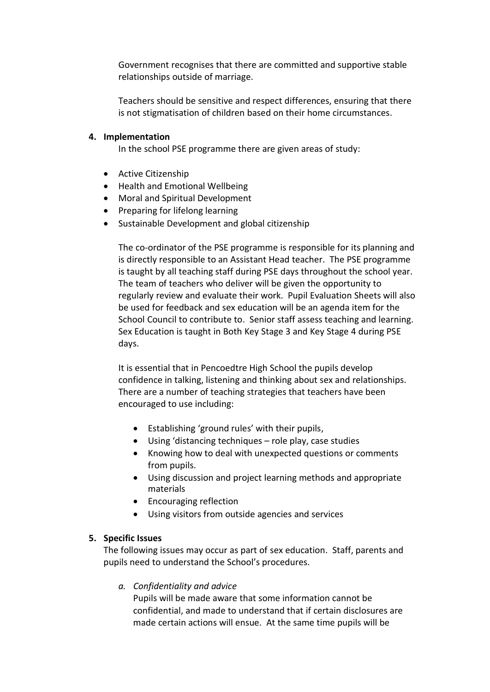Government recognises that there are committed and supportive stable relationships outside of marriage.

Teachers should be sensitive and respect differences, ensuring that there is not stigmatisation of children based on their home circumstances.

## **4. Implementation**

In the school PSE programme there are given areas of study:

- Active Citizenship
- Health and Emotional Wellbeing
- Moral and Spiritual Development
- Preparing for lifelong learning
- Sustainable Development and global citizenship

The co-ordinator of the PSE programme is responsible for its planning and is directly responsible to an Assistant Head teacher. The PSE programme is taught by all teaching staff during PSE days throughout the school year. The team of teachers who deliver will be given the opportunity to regularly review and evaluate their work. Pupil Evaluation Sheets will also be used for feedback and sex education will be an agenda item for the School Council to contribute to. Senior staff assess teaching and learning. Sex Education is taught in Both Key Stage 3 and Key Stage 4 during PSE days.

It is essential that in Pencoedtre High School the pupils develop confidence in talking, listening and thinking about sex and relationships. There are a number of teaching strategies that teachers have been encouraged to use including:

- Establishing 'ground rules' with their pupils,
- Using 'distancing techniques role play, case studies
- Knowing how to deal with unexpected questions or comments from pupils.
- Using discussion and project learning methods and appropriate materials
- Encouraging reflection
- Using visitors from outside agencies and services

# **5. Specific Issues**

The following issues may occur as part of sex education. Staff, parents and pupils need to understand the School's procedures.

# *a. Confidentiality and advice*

Pupils will be made aware that some information cannot be confidential, and made to understand that if certain disclosures are made certain actions will ensue. At the same time pupils will be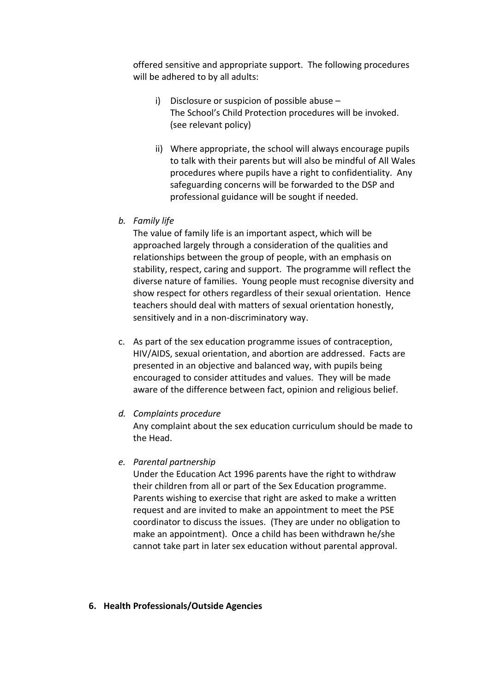offered sensitive and appropriate support. The following procedures will be adhered to by all adults:

- i) Disclosure or suspicion of possible abuse The School's Child Protection procedures will be invoked. (see relevant policy)
- ii) Where appropriate, the school will always encourage pupils to talk with their parents but will also be mindful of All Wales procedures where pupils have a right to confidentiality. Any safeguarding concerns will be forwarded to the DSP and professional guidance will be sought if needed.
- *b. Family life*

The value of family life is an important aspect, which will be approached largely through a consideration of the qualities and relationships between the group of people, with an emphasis on stability, respect, caring and support. The programme will reflect the diverse nature of families. Young people must recognise diversity and show respect for others regardless of their sexual orientation. Hence teachers should deal with matters of sexual orientation honestly, sensitively and in a non-discriminatory way.

- c. As part of the sex education programme issues of contraception, HIV/AIDS, sexual orientation, and abortion are addressed. Facts are presented in an objective and balanced way, with pupils being encouraged to consider attitudes and values. They will be made aware of the difference between fact, opinion and religious belief.
- *d. Complaints procedure*

Any complaint about the sex education curriculum should be made to the Head.

*e. Parental partnership*

Under the Education Act 1996 parents have the right to withdraw their children from all or part of the Sex Education programme. Parents wishing to exercise that right are asked to make a written request and are invited to make an appointment to meet the PSE coordinator to discuss the issues. (They are under no obligation to make an appointment). Once a child has been withdrawn he/she cannot take part in later sex education without parental approval.

## **6. Health Professionals/Outside Agencies**